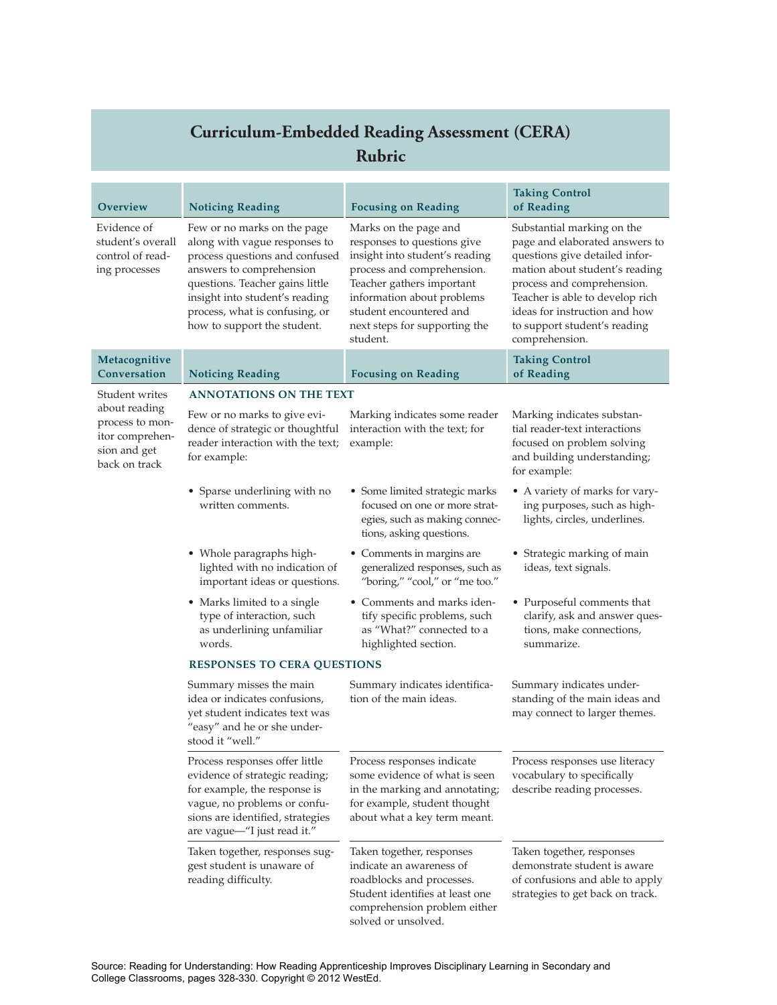## **Curriculum-Embedded Reading Assessment (CERA) Rubric**

| <b>Overview</b>                                                                      | <b>Noticing Reading</b>                                                                                                                                                                                                                                          | <b>Focusing on Reading</b>                                                                                                                                                                                                                              | <b>Taking Control</b><br>of Reading                                                                                                                                                                                                                                                  |  |  |
|--------------------------------------------------------------------------------------|------------------------------------------------------------------------------------------------------------------------------------------------------------------------------------------------------------------------------------------------------------------|---------------------------------------------------------------------------------------------------------------------------------------------------------------------------------------------------------------------------------------------------------|--------------------------------------------------------------------------------------------------------------------------------------------------------------------------------------------------------------------------------------------------------------------------------------|--|--|
| Evidence of<br>student's overall<br>control of read-<br>ing processes                | Few or no marks on the page<br>along with vague responses to<br>process questions and confused<br>answers to comprehension<br>questions. Teacher gains little<br>insight into student's reading<br>process, what is confusing, or<br>how to support the student. | Marks on the page and<br>responses to questions give<br>insight into student's reading<br>process and comprehension.<br>Teacher gathers important<br>information about problems<br>student encountered and<br>next steps for supporting the<br>student. | Substantial marking on the<br>page and elaborated answers to<br>questions give detailed infor-<br>mation about student's reading<br>process and comprehension.<br>Teacher is able to develop rich<br>ideas for instruction and how<br>to support student's reading<br>comprehension. |  |  |
| Metacognitive<br>Conversation                                                        | <b>Noticing Reading</b>                                                                                                                                                                                                                                          | <b>Focusing on Reading</b>                                                                                                                                                                                                                              | <b>Taking Control</b><br>of Reading                                                                                                                                                                                                                                                  |  |  |
| Student writes                                                                       | <b>ANNOTATIONS ON THE TEXT</b>                                                                                                                                                                                                                                   |                                                                                                                                                                                                                                                         |                                                                                                                                                                                                                                                                                      |  |  |
| about reading<br>process to mon-<br>itor comprehen-<br>sion and get<br>back on track | Few or no marks to give evi-<br>dence of strategic or thoughtful<br>reader interaction with the text;<br>for example:                                                                                                                                            | Marking indicates some reader<br>interaction with the text; for<br>example:                                                                                                                                                                             | Marking indicates substan-<br>tial reader-text interactions<br>focused on problem solving<br>and building understanding;<br>for example:                                                                                                                                             |  |  |
|                                                                                      | • Sparse underlining with no<br>written comments.                                                                                                                                                                                                                | • Some limited strategic marks<br>focused on one or more strat-<br>egies, such as making connec-<br>tions, asking questions.                                                                                                                            | • A variety of marks for vary-<br>ing purposes, such as high-<br>lights, circles, underlines.                                                                                                                                                                                        |  |  |
|                                                                                      | • Whole paragraphs high-<br>lighted with no indication of<br>important ideas or questions.                                                                                                                                                                       | • Comments in margins are<br>generalized responses, such as<br>"boring," "cool," or "me too."                                                                                                                                                           | • Strategic marking of main<br>ideas, text signals.                                                                                                                                                                                                                                  |  |  |
|                                                                                      | • Marks limited to a single<br>type of interaction, such<br>as underlining unfamiliar<br>words.                                                                                                                                                                  | • Comments and marks iden-<br>tify specific problems, such<br>as "What?" connected to a<br>highlighted section.                                                                                                                                         | • Purposeful comments that<br>clarify, ask and answer ques-<br>tions, make connections,<br>summarize.                                                                                                                                                                                |  |  |
|                                                                                      | <b>RESPONSES TO CERA QUESTIONS</b>                                                                                                                                                                                                                               |                                                                                                                                                                                                                                                         |                                                                                                                                                                                                                                                                                      |  |  |
|                                                                                      | Summary misses the main<br>idea or indicates confusions,<br>yet student indicates text was<br>"easy" and he or she under-<br>stood it "well."                                                                                                                    | Summary indicates identifica-<br>tion of the main ideas.                                                                                                                                                                                                | Summary indicates under-<br>standing of the main ideas and<br>may connect to larger themes.                                                                                                                                                                                          |  |  |
|                                                                                      | Process responses offer little<br>evidence of strategic reading;<br>for example, the response is<br>vague, no problems or confu-<br>sions are identified, strategies<br>are vague-"I just read it."                                                              | Process responses indicate<br>some evidence of what is seen<br>in the marking and annotating;<br>for example, student thought<br>about what a key term meant.                                                                                           | Process responses use literacy<br>vocabulary to specifically<br>describe reading processes.                                                                                                                                                                                          |  |  |
|                                                                                      | Taken together, responses sug-<br>gest student is unaware of<br>reading difficulty.                                                                                                                                                                              | Taken together, responses<br>indicate an awareness of<br>roadblocks and processes.<br>Student identifies at least one<br>comprehension problem either<br>solved or unsolved.                                                                            | Taken together, responses<br>demonstrate student is aware<br>of confusions and able to apply<br>strategies to get back on track.                                                                                                                                                     |  |  |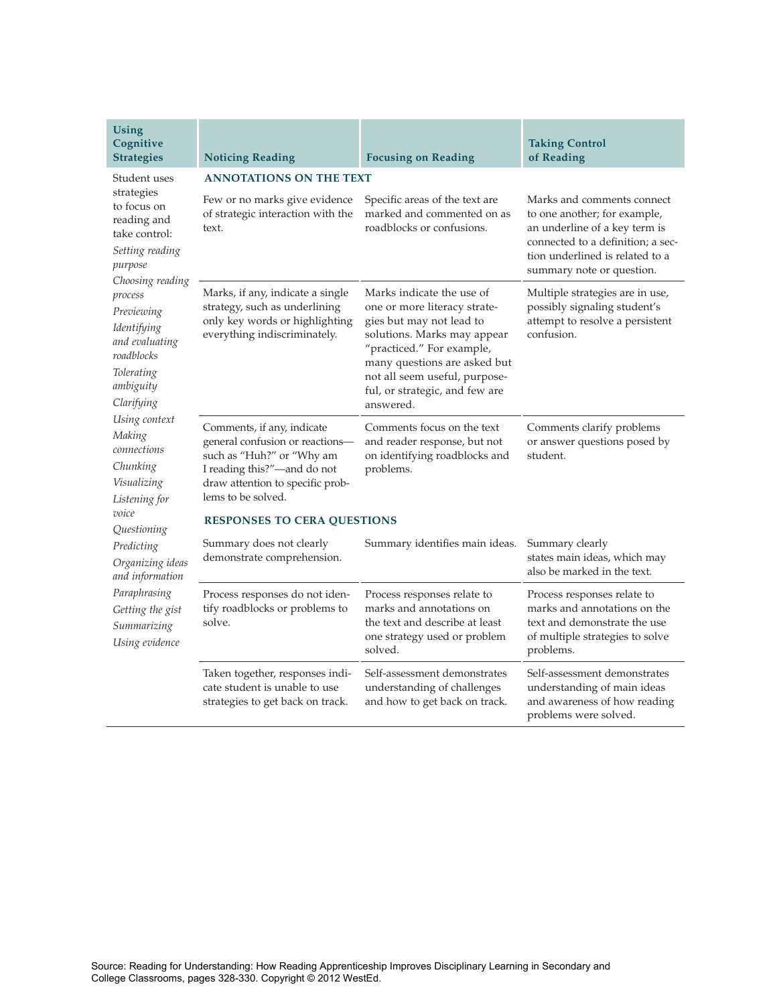| Using<br>Cognitive<br><b>Strategies</b>                                                                                                                                                                                                                                                                                                                                                                                                                              | <b>Noticing Reading</b>                                                                                                                                                             | <b>Focusing on Reading</b>                                                                                                                                                                                                                                        | <b>Taking Control</b><br>of Reading                                                                                                                                                              |  |  |
|----------------------------------------------------------------------------------------------------------------------------------------------------------------------------------------------------------------------------------------------------------------------------------------------------------------------------------------------------------------------------------------------------------------------------------------------------------------------|-------------------------------------------------------------------------------------------------------------------------------------------------------------------------------------|-------------------------------------------------------------------------------------------------------------------------------------------------------------------------------------------------------------------------------------------------------------------|--------------------------------------------------------------------------------------------------------------------------------------------------------------------------------------------------|--|--|
| Student uses                                                                                                                                                                                                                                                                                                                                                                                                                                                         | <b>ANNOTATIONS ON THE TEXT</b>                                                                                                                                                      |                                                                                                                                                                                                                                                                   |                                                                                                                                                                                                  |  |  |
| strategies<br>to focus on<br>reading and<br>take control:<br>Setting reading<br>purpose<br>Choosing reading<br>process<br>Previewing<br>Identifying<br>and evaluating<br>roadblocks<br>Tolerating<br>ambiguity<br>Clarifying<br>Using context<br>Making<br>connections<br>Chunking<br>Visualizing<br>Listening for<br>voice<br>Questioning<br>Predicting<br>Organizing ideas<br>and information<br>Paraphrasing<br>Getting the gist<br>Summarizing<br>Using evidence | Few or no marks give evidence<br>of strategic interaction with the<br>text.                                                                                                         | Specific areas of the text are<br>marked and commented on as<br>roadblocks or confusions.                                                                                                                                                                         | Marks and comments connect<br>to one another; for example,<br>an underline of a key term is<br>connected to a definition; a sec-<br>tion underlined is related to a<br>summary note or question. |  |  |
|                                                                                                                                                                                                                                                                                                                                                                                                                                                                      | Marks, if any, indicate a single<br>strategy, such as underlining<br>only key words or highlighting<br>everything indiscriminately.                                                 | Marks indicate the use of<br>one or more literacy strate-<br>gies but may not lead to<br>solutions. Marks may appear<br>"practiced." For example,<br>many questions are asked but<br>not all seem useful, purpose-<br>ful, or strategic, and few are<br>answered. | Multiple strategies are in use,<br>possibly signaling student's<br>attempt to resolve a persistent<br>confusion.                                                                                 |  |  |
|                                                                                                                                                                                                                                                                                                                                                                                                                                                                      | Comments, if any, indicate<br>general confusion or reactions-<br>such as "Huh?" or "Why am<br>I reading this?"-and do not<br>draw attention to specific prob-<br>lems to be solved. | Comments focus on the text<br>and reader response, but not<br>on identifying roadblocks and<br>problems.                                                                                                                                                          | Comments clarify problems<br>or answer questions posed by<br>student.                                                                                                                            |  |  |
|                                                                                                                                                                                                                                                                                                                                                                                                                                                                      | <b>RESPONSES TO CERA QUESTIONS</b>                                                                                                                                                  |                                                                                                                                                                                                                                                                   |                                                                                                                                                                                                  |  |  |
|                                                                                                                                                                                                                                                                                                                                                                                                                                                                      | Summary does not clearly<br>demonstrate comprehension.                                                                                                                              | Summary identifies main ideas.                                                                                                                                                                                                                                    | Summary clearly<br>states main ideas, which may<br>also be marked in the text.                                                                                                                   |  |  |
|                                                                                                                                                                                                                                                                                                                                                                                                                                                                      | Process responses do not iden-<br>tify roadblocks or problems to<br>solve.                                                                                                          | Process responses relate to<br>marks and annotations on<br>the text and describe at least<br>one strategy used or problem<br>solved.                                                                                                                              | Process responses relate to<br>marks and annotations on the<br>text and demonstrate the use<br>of multiple strategies to solve<br>problems.                                                      |  |  |
|                                                                                                                                                                                                                                                                                                                                                                                                                                                                      | Taken together, responses indi-<br>cate student is unable to use<br>strategies to get back on track.                                                                                | Self-assessment demonstrates<br>understanding of challenges<br>and how to get back on track.                                                                                                                                                                      | Self-assessment demonstrates<br>understanding of main ideas<br>and awareness of how reading<br>problems were solved.                                                                             |  |  |